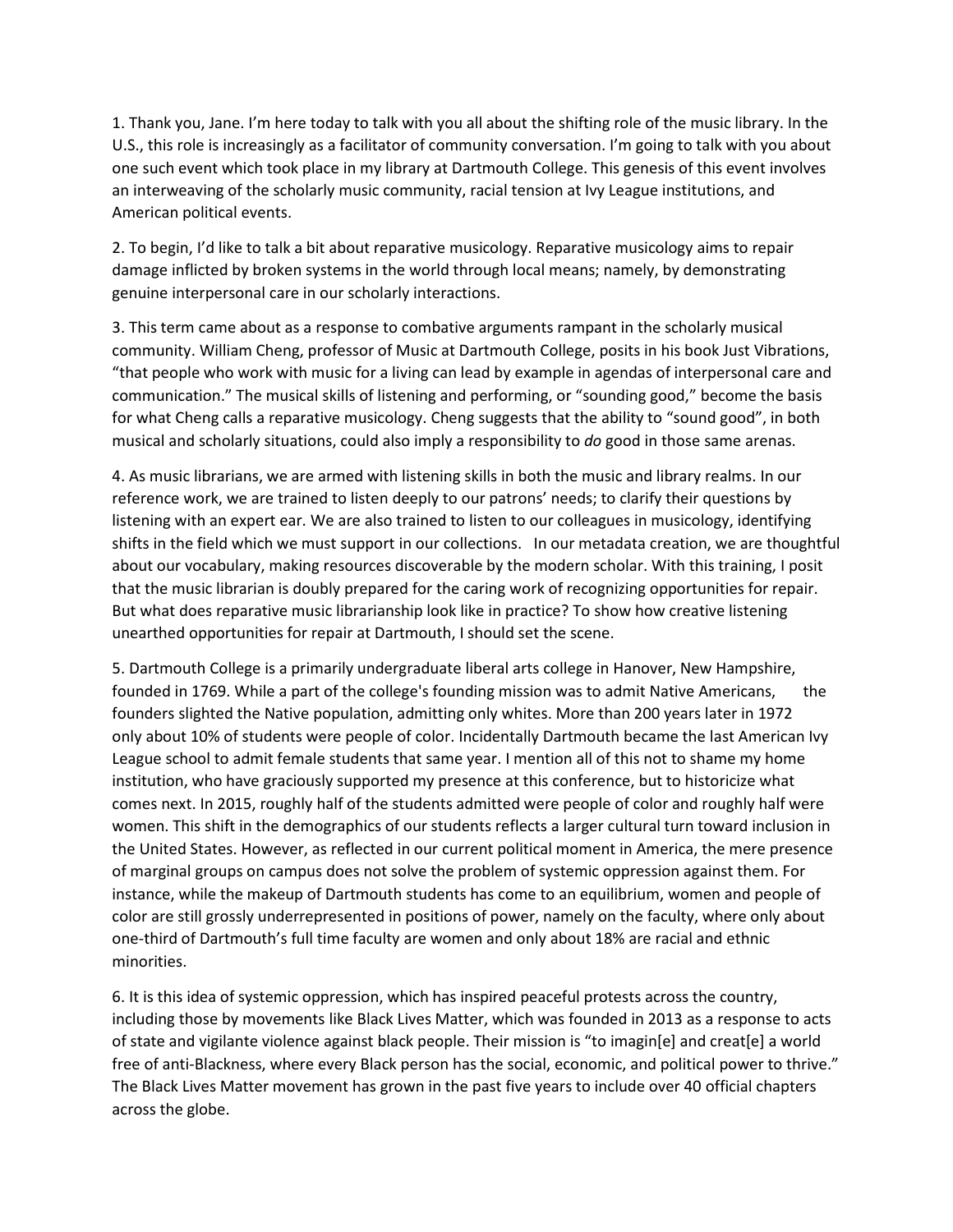1. Thank you, Jane. I'm here today to talk with you all about the shifting role of the music library. In the U.S., this role is increasingly as a facilitator of community conversation. I'm going to talk with you about one such event which took place in my library at Dartmouth College. This genesis of this event involves an interweaving of the scholarly music community, racial tension at Ivy League institutions, and American political events.

2. To begin, I'd like to talk a bit about reparative musicology. Reparative musicology aims to repair damage inflicted by broken systems in the world through local means; namely, by demonstrating genuine interpersonal care in our scholarly interactions.

3. This term came about as a response to combative arguments rampant in the scholarly musical community. William Cheng, professor of Music at Dartmouth College, posits in his book Just Vibrations, "that people who work with music for a living can lead by example in agendas of interpersonal care and communication." The musical skills of listening and performing, or "sounding good," become the basis for what Cheng calls a reparative musicology. Cheng suggests that the ability to "sound good", in both musical and scholarly situations, could also imply a responsibility to *do* good in those same arenas.

4. As music librarians, we are armed with listening skills in both the music and library realms. In our reference work, we are trained to listen deeply to our patrons' needs; to clarify their questions by listening with an expert ear. We are also trained to listen to our colleagues in musicology, identifying shifts in the field which we must support in our collections. In our metadata creation, we are thoughtful about our vocabulary, making resources discoverable by the modern scholar. With this training, I posit that the music librarian is doubly prepared for the caring work of recognizing opportunities for repair. But what does reparative music librarianship look like in practice? To show how creative listening unearthed opportunities for repair at Dartmouth, I should set the scene.

5. Dartmouth College is a primarily undergraduate liberal arts college in Hanover, New Hampshire, founded in 1769. While a part of the college's founding mission was to admit Native Americans, the founders slighted the Native population, admitting only whites. More than 200 years later in 1972 only about 10% of students were people of color. Incidentally Dartmouth became the last American Ivy League school to admit female students that same year. I mention all of this not to shame my home institution, who have graciously supported my presence at this conference, but to historicize what comes next. In 2015, roughly half of the students admitted were people of color and roughly half were women. This shift in the demographics of our students reflects a larger cultural turn toward inclusion in the United States. However, as reflected in our current political moment in America, the mere presence of marginal groups on campus does not solve the problem of systemic oppression against them. For instance, while the makeup of Dartmouth students has come to an equilibrium, women and people of color are still grossly underrepresented in positions of power, namely on the faculty, where only about one-third of Dartmouth's full time faculty are women and only about 18% are racial and ethnic minorities.

6. It is this idea of systemic oppression, which has inspired peaceful protests across the country, including those by movements like Black Lives Matter, which was founded in 2013 as a response to acts of state and vigilante violence against black people. Their mission is "to imagin[e] and creat[e] a world free of anti-Blackness, where every Black person has the social, economic, and political power to thrive." The Black Lives Matter movement has grown in the past five years to include over 40 official chapters across the globe.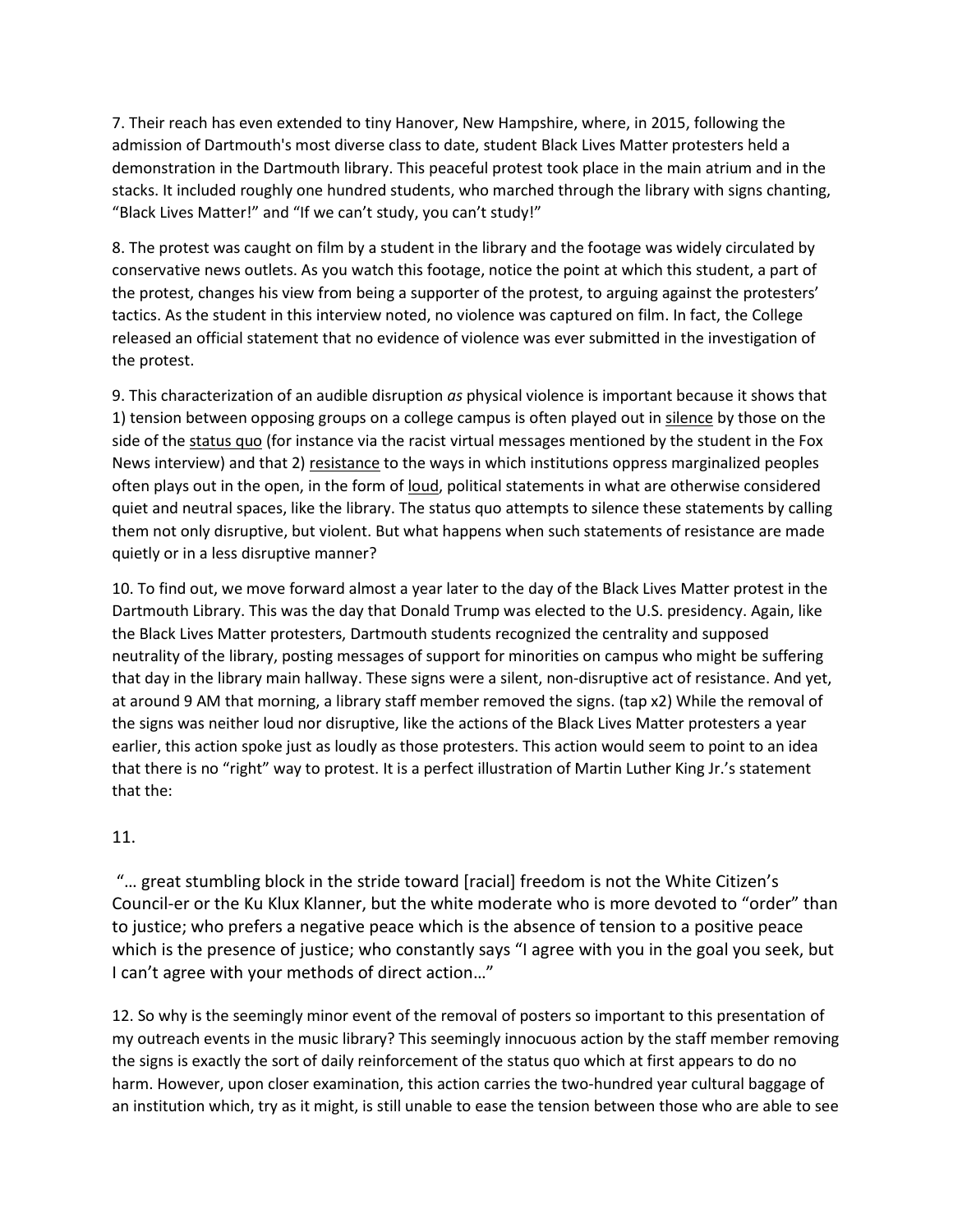7. Their reach has even extended to tiny Hanover, New Hampshire, where, in 2015, following the admission of Dartmouth's most diverse class to date, student Black Lives Matter protesters held a demonstration in the Dartmouth library. This peaceful protest took place in the main atrium and in the stacks. It included roughly one hundred students, who marched through the library with signs chanting, "Black Lives Matter!" and "If we can't study, you can't study!"

8. The protest was caught on film by a student in the library and the footage was widely circulated by conservative news outlets. As you watch this footage, notice the point at which this student, a part of the protest, changes his view from being a supporter of the protest, to arguing against the protesters' tactics. As the student in this interview noted, no violence was captured on film. In fact, the College released an official statement that no evidence of violence was ever submitted in the investigation of the protest.

9. This characterization of an audible disruption *as* physical violence is important because it shows that 1) tension between opposing groups on a college campus is often played out in silence by those on the side of the status quo (for instance via the racist virtual messages mentioned by the student in the Fox News interview) and that 2) resistance to the ways in which institutions oppress marginalized peoples often plays out in the open, in the form of loud, political statements in what are otherwise considered quiet and neutral spaces, like the library. The status quo attempts to silence these statements by calling them not only disruptive, but violent. But what happens when such statements of resistance are made quietly or in a less disruptive manner?

10. To find out, we move forward almost a year later to the day of the Black Lives Matter protest in the Dartmouth Library. This was the day that Donald Trump was elected to the U.S. presidency. Again, like the Black Lives Matter protesters, Dartmouth students recognized the centrality and supposed neutrality of the library, posting messages of support for minorities on campus who might be suffering that day in the library main hallway. These signs were a silent, non-disruptive act of resistance. And yet, at around 9 AM that morning, a library staff member removed the signs. (tap x2) While the removal of the signs was neither loud nor disruptive, like the actions of the Black Lives Matter protesters a year earlier, this action spoke just as loudly as those protesters. This action would seem to point to an idea that there is no "right" way to protest. It is a perfect illustration of Martin Luther King Jr.'s statement that the:

## 11.

"… great stumbling block in the stride toward [racial] freedom is not the White Citizen's Council-er or the Ku Klux Klanner, but the white moderate who is more devoted to "order" than to justice; who prefers a negative peace which is the absence of tension to a positive peace which is the presence of justice; who constantly says "I agree with you in the goal you seek, but I can't agree with your methods of direct action…"

12. So why is the seemingly minor event of the removal of posters so important to this presentation of my outreach events in the music library? This seemingly innocuous action by the staff member removing the signs is exactly the sort of daily reinforcement of the status quo which at first appears to do no harm. However, upon closer examination, this action carries the two-hundred year cultural baggage of an institution which, try as it might, is still unable to ease the tension between those who are able to see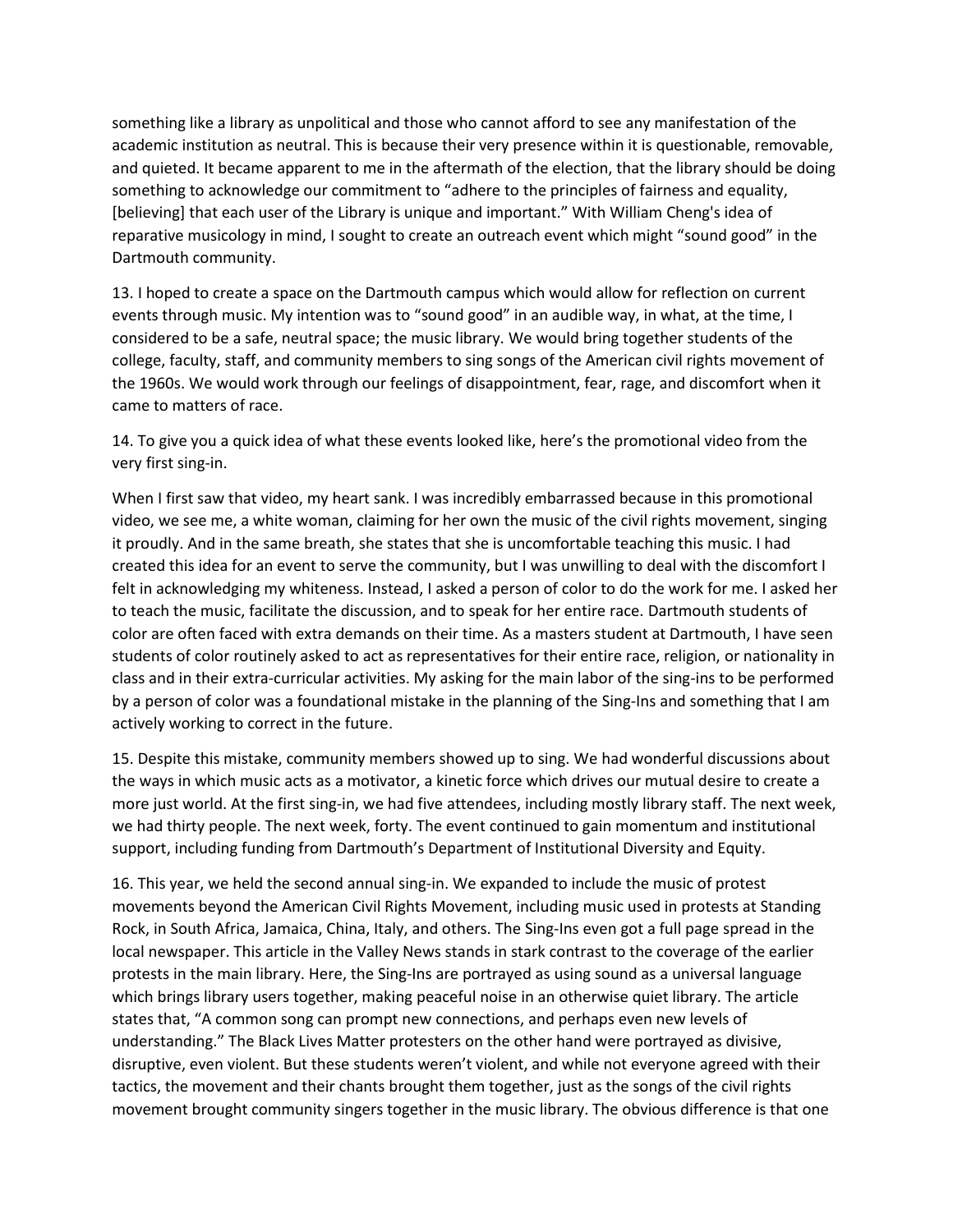something like a library as unpolitical and those who cannot afford to see any manifestation of the academic institution as neutral. This is because their very presence within it is questionable, removable, and quieted. It became apparent to me in the aftermath of the election, that the library should be doing something to acknowledge our commitment to "adhere to the principles of fairness and equality, [believing] that each user of the Library is unique and important." With William Cheng's idea of reparative musicology in mind, I sought to create an outreach event which might "sound good" in the Dartmouth community.

13. I hoped to create a space on the Dartmouth campus which would allow for reflection on current events through music. My intention was to "sound good" in an audible way, in what, at the time, I considered to be a safe, neutral space; the music library. We would bring together students of the college, faculty, staff, and community members to sing songs of the American civil rights movement of the 1960s. We would work through our feelings of disappointment, fear, rage, and discomfort when it came to matters of race.

14. To give you a quick idea of what these events looked like, here's the promotional video from the very first sing-in.

When I first saw that video, my heart sank. I was incredibly embarrassed because in this promotional video, we see me, a white woman, claiming for her own the music of the civil rights movement, singing it proudly. And in the same breath, she states that she is uncomfortable teaching this music. I had created this idea for an event to serve the community, but I was unwilling to deal with the discomfort I felt in acknowledging my whiteness. Instead, I asked a person of color to do the work for me. I asked her to teach the music, facilitate the discussion, and to speak for her entire race. Dartmouth students of color are often faced with extra demands on their time. As a masters student at Dartmouth, I have seen students of color routinely asked to act as representatives for their entire race, religion, or nationality in class and in their extra-curricular activities. My asking for the main labor of the sing-ins to be performed by a person of color was a foundational mistake in the planning of the Sing-Ins and something that I am actively working to correct in the future.

15. Despite this mistake, community members showed up to sing. We had wonderful discussions about the ways in which music acts as a motivator, a kinetic force which drives our mutual desire to create a more just world. At the first sing-in, we had five attendees, including mostly library staff. The next week, we had thirty people. The next week, forty. The event continued to gain momentum and institutional support, including funding from Dartmouth's Department of Institutional Diversity and Equity.

16. This year, we held the second annual sing-in. We expanded to include the music of protest movements beyond the American Civil Rights Movement, including music used in protests at Standing Rock, in South Africa, Jamaica, China, Italy, and others. The Sing-Ins even got a full page spread in the local newspaper. This article in the Valley News stands in stark contrast to the coverage of the earlier protests in the main library. Here, the Sing-Ins are portrayed as using sound as a universal language which brings library users together, making peaceful noise in an otherwise quiet library. The article states that, "A common song can prompt new connections, and perhaps even new levels of understanding." The Black Lives Matter protesters on the other hand were portrayed as divisive, disruptive, even violent. But these students weren't violent, and while not everyone agreed with their tactics, the movement and their chants brought them together, just as the songs of the civil rights movement brought community singers together in the music library. The obvious difference is that one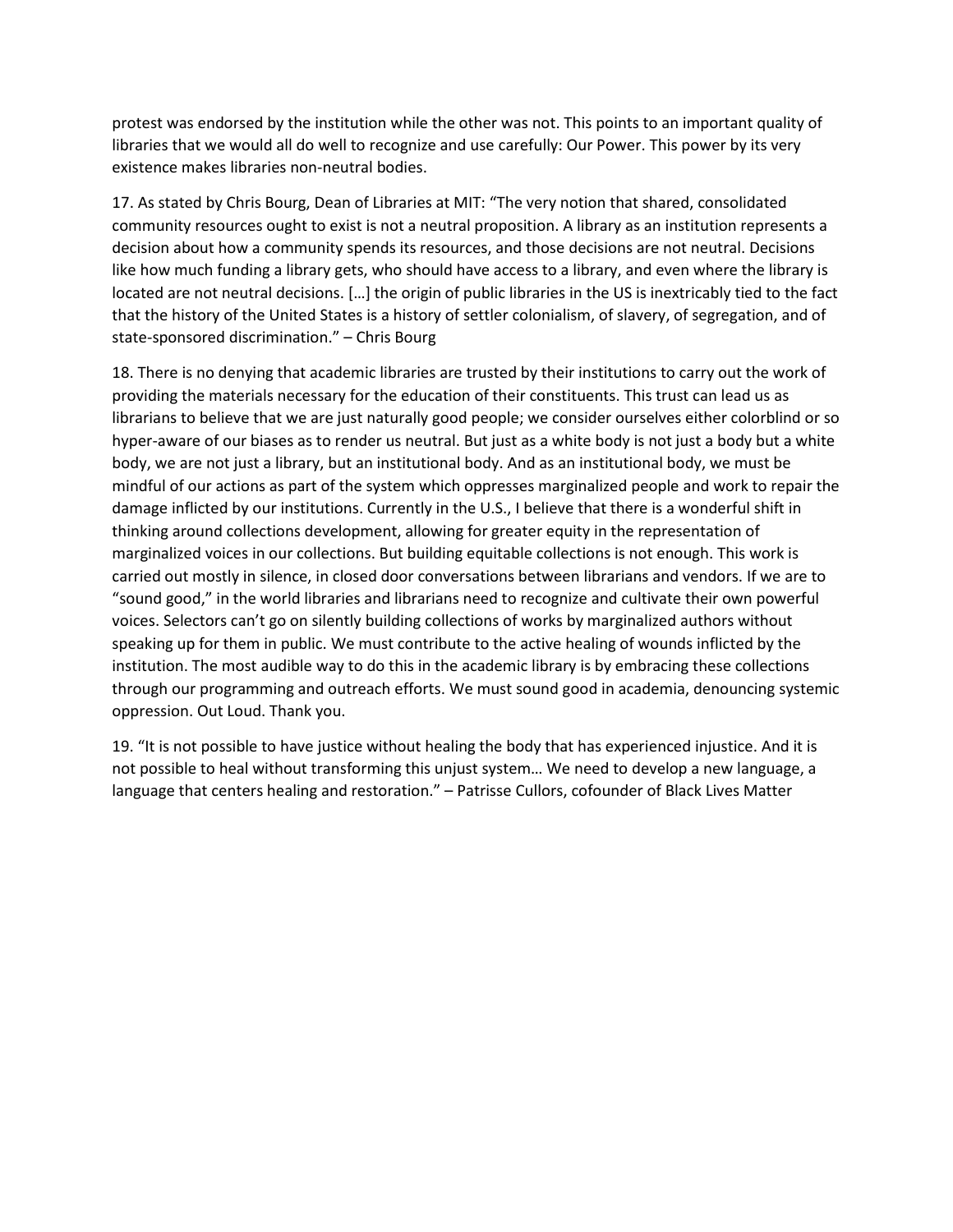protest was endorsed by the institution while the other was not. This points to an important quality of libraries that we would all do well to recognize and use carefully: Our Power. This power by its very existence makes libraries non-neutral bodies.

17. As stated by Chris Bourg, Dean of Libraries at MIT: "The very notion that shared, consolidated community resources ought to exist is not a neutral proposition. A library as an institution represents a decision about how a community spends its resources, and those decisions are not neutral. Decisions like how much funding a library gets, who should have access to a library, and even where the library is located are not neutral decisions. […] the origin of public libraries in the US is inextricably tied to the fact that the history of the United States is a history of settler colonialism, of slavery, of segregation, and of state-sponsored discrimination." – Chris Bourg

18. There is no denying that academic libraries are trusted by their institutions to carry out the work of providing the materials necessary for the education of their constituents. This trust can lead us as librarians to believe that we are just naturally good people; we consider ourselves either colorblind or so hyper-aware of our biases as to render us neutral. But just as a white body is not just a body but a white body, we are not just a library, but an institutional body. And as an institutional body, we must be mindful of our actions as part of the system which oppresses marginalized people and work to repair the damage inflicted by our institutions. Currently in the U.S., I believe that there is a wonderful shift in thinking around collections development, allowing for greater equity in the representation of marginalized voices in our collections. But building equitable collections is not enough. This work is carried out mostly in silence, in closed door conversations between librarians and vendors. If we are to "sound good," in the world libraries and librarians need to recognize and cultivate their own powerful voices. Selectors can't go on silently building collections of works by marginalized authors without speaking up for them in public. We must contribute to the active healing of wounds inflicted by the institution. The most audible way to do this in the academic library is by embracing these collections through our programming and outreach efforts. We must sound good in academia, denouncing systemic oppression. Out Loud. Thank you.

19. "It is not possible to have justice without healing the body that has experienced injustice. And it is not possible to heal without transforming this unjust system… We need to develop a new language, a language that centers healing and restoration." – Patrisse Cullors, cofounder of Black Lives Matter